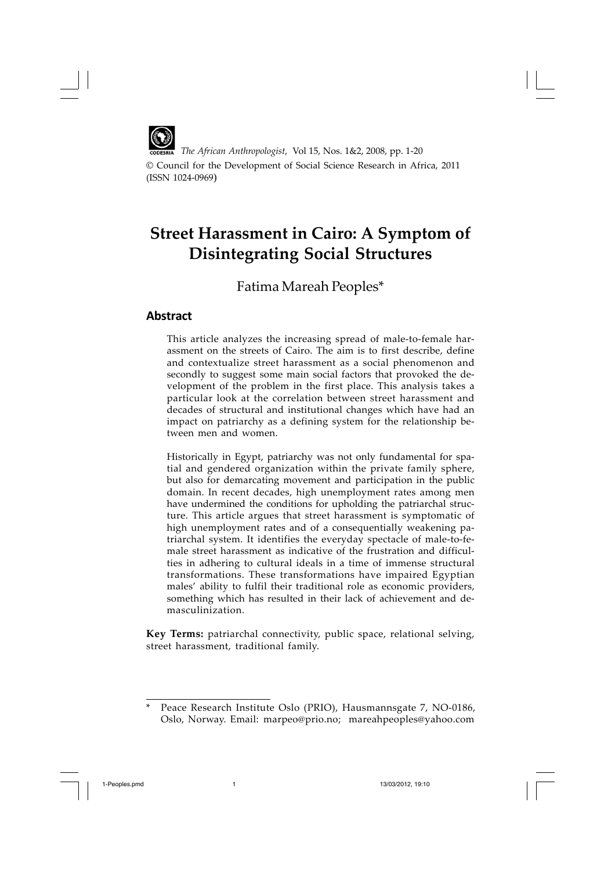

*The African Anthropologist*, Vol 15, Nos. 1&2, 2008, pp. 1-20

© Council for the Development of Social Science Research in Africa, 2011 (ISSN 1024-0969)

# **Street Harassment in Cairo: A Symptom of Disintegrating Social Structures**

Fatima Mareah Peoples\*

## **Abstract**

This article analyzes the increasing spread of male-to-female harassment on the streets of Cairo. The aim is to first describe, define and contextualize street harassment as a social phenomenon and secondly to suggest some main social factors that provoked the development of the problem in the first place. This analysis takes a particular look at the correlation between street harassment and decades of structural and institutional changes which have had an impact on patriarchy as a defining system for the relationship between men and women.

Historically in Egypt, patriarchy was not only fundamental for spatial and gendered organization within the private family sphere, but also for demarcating movement and participation in the public domain. In recent decades, high unemployment rates among men have undermined the conditions for upholding the patriarchal structure. This article argues that street harassment is symptomatic of high unemployment rates and of a consequentially weakening patriarchal system. It identifies the everyday spectacle of male-to-female street harassment as indicative of the frustration and difficulties in adhering to cultural ideals in a time of immense structural transformations. These transformations have impaired Egyptian males' ability to fulfil their traditional role as economic providers, something which has resulted in their lack of achievement and demasculinization.

**Key Terms:** patriarchal connectivity, public space, relational selving, street harassment, traditional family.

<sup>\*</sup> Peace Research Institute Oslo (PRIO), Hausmannsgate 7, NO-0186, Oslo, Norway. Email: marpeo@prio.no; mareahpeoples@yahoo.com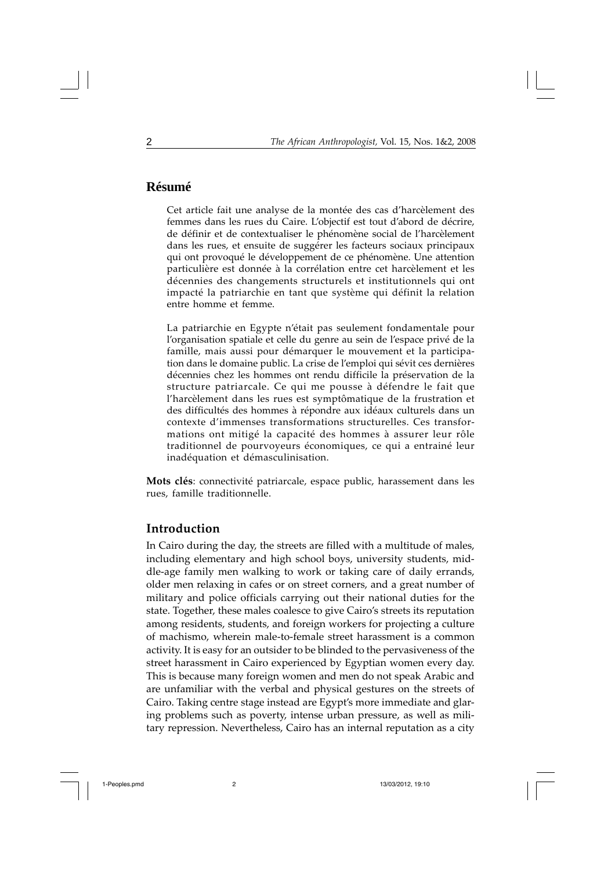## **Résumé**

Cet article fait une analyse de la montée des cas d'harcèlement des femmes dans les rues du Caire. L'objectif est tout d'abord de décrire, de définir et de contextualiser le phénomène social de l'harcèlement dans les rues, et ensuite de suggérer les facteurs sociaux principaux qui ont provoqué le développement de ce phénomène. Une attention particulière est donnée à la corrélation entre cet harcèlement et les décennies des changements structurels et institutionnels qui ont impacté la patriarchie en tant que système qui définit la relation entre homme et femme.

La patriarchie en Egypte n'était pas seulement fondamentale pour l'organisation spatiale et celle du genre au sein de l'espace privé de la famille, mais aussi pour démarquer le mouvement et la participation dans le domaine public. La crise de l'emploi qui sévit ces dernières décennies chez les hommes ont rendu difficile la préservation de la structure patriarcale. Ce qui me pousse à défendre le fait que l'harcèlement dans les rues est symptômatique de la frustration et des difficultés des hommes à répondre aux idéaux culturels dans un contexte d'immenses transformations structurelles. Ces transformations ont mitigé la capacité des hommes à assurer leur rôle traditionnel de pourvoyeurs économiques, ce qui a entrainé leur inadéquation et démasculinisation.

**Mots clés**: connectivité patriarcale, espace public, harassement dans les rues, famille traditionnelle.

#### **Introduction**

In Cairo during the day, the streets are filled with a multitude of males, including elementary and high school boys, university students, middle-age family men walking to work or taking care of daily errands, older men relaxing in cafes or on street corners, and a great number of military and police officials carrying out their national duties for the state. Together, these males coalesce to give Cairo's streets its reputation among residents, students, and foreign workers for projecting a culture of machismo, wherein male-to-female street harassment is a common activity. It is easy for an outsider to be blinded to the pervasiveness of the street harassment in Cairo experienced by Egyptian women every day. This is because many foreign women and men do not speak Arabic and are unfamiliar with the verbal and physical gestures on the streets of Cairo. Taking centre stage instead are Egypt's more immediate and glaring problems such as poverty, intense urban pressure, as well as military repression. Nevertheless, Cairo has an internal reputation as a city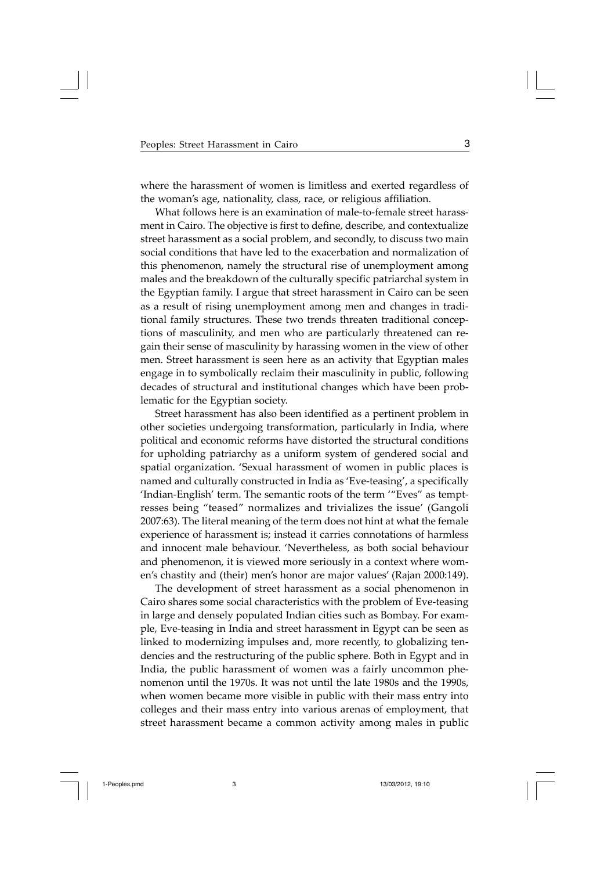where the harassment of women is limitless and exerted regardless of the woman's age, nationality, class, race, or religious affiliation.

What follows here is an examination of male-to-female street harassment in Cairo. The objective is first to define, describe, and contextualize street harassment as a social problem, and secondly, to discuss two main social conditions that have led to the exacerbation and normalization of this phenomenon, namely the structural rise of unemployment among males and the breakdown of the culturally specific patriarchal system in the Egyptian family. I argue that street harassment in Cairo can be seen as a result of rising unemployment among men and changes in traditional family structures. These two trends threaten traditional conceptions of masculinity, and men who are particularly threatened can regain their sense of masculinity by harassing women in the view of other men. Street harassment is seen here as an activity that Egyptian males engage in to symbolically reclaim their masculinity in public, following decades of structural and institutional changes which have been problematic for the Egyptian society.

Street harassment has also been identified as a pertinent problem in other societies undergoing transformation, particularly in India, where political and economic reforms have distorted the structural conditions for upholding patriarchy as a uniform system of gendered social and spatial organization. 'Sexual harassment of women in public places is named and culturally constructed in India as 'Eve-teasing', a specifically 'Indian-English' term. The semantic roots of the term '"Eves" as temptresses being "teased" normalizes and trivializes the issue' (Gangoli 2007:63). The literal meaning of the term does not hint at what the female experience of harassment is; instead it carries connotations of harmless and innocent male behaviour. 'Nevertheless, as both social behaviour and phenomenon, it is viewed more seriously in a context where women's chastity and (their) men's honor are major values' (Rajan 2000:149).

The development of street harassment as a social phenomenon in Cairo shares some social characteristics with the problem of Eve-teasing in large and densely populated Indian cities such as Bombay. For example, Eve-teasing in India and street harassment in Egypt can be seen as linked to modernizing impulses and, more recently, to globalizing tendencies and the restructuring of the public sphere. Both in Egypt and in India, the public harassment of women was a fairly uncommon phenomenon until the 1970s. It was not until the late 1980s and the 1990s, when women became more visible in public with their mass entry into colleges and their mass entry into various arenas of employment, that street harassment became a common activity among males in public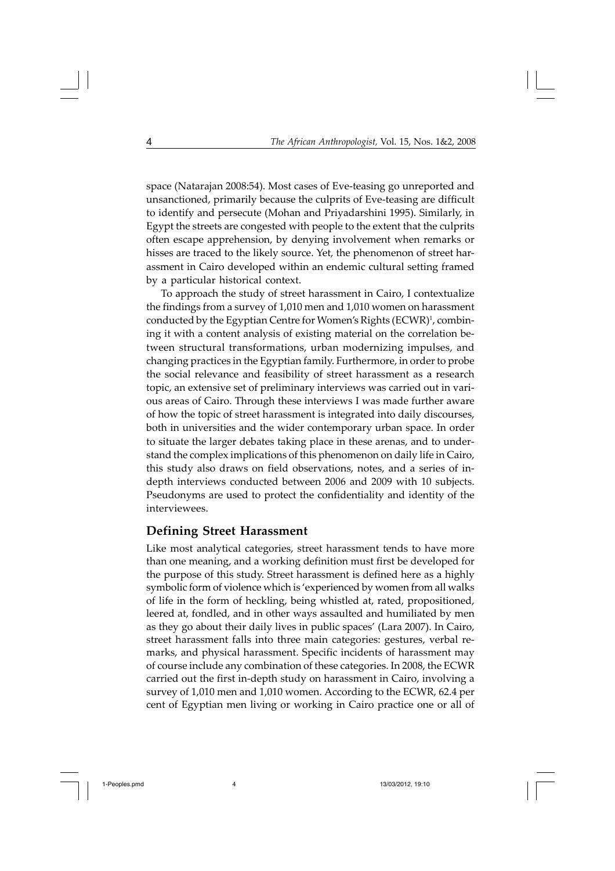space (Natarajan 2008:54). Most cases of Eve-teasing go unreported and unsanctioned, primarily because the culprits of Eve-teasing are difficult to identify and persecute (Mohan and Priyadarshini 1995). Similarly, in Egypt the streets are congested with people to the extent that the culprits often escape apprehension, by denying involvement when remarks or hisses are traced to the likely source. Yet, the phenomenon of street harassment in Cairo developed within an endemic cultural setting framed by a particular historical context.

To approach the study of street harassment in Cairo, I contextualize the findings from a survey of 1,010 men and 1,010 women on harassment conducted by the Egyptian Centre for Women's Rights (ECWR)<sup>1</sup>, combining it with a content analysis of existing material on the correlation between structural transformations, urban modernizing impulses, and changing practices in the Egyptian family. Furthermore, in order to probe the social relevance and feasibility of street harassment as a research topic, an extensive set of preliminary interviews was carried out in various areas of Cairo. Through these interviews I was made further aware of how the topic of street harassment is integrated into daily discourses, both in universities and the wider contemporary urban space. In order to situate the larger debates taking place in these arenas, and to understand the complex implications of this phenomenon on daily life in Cairo, this study also draws on field observations, notes, and a series of indepth interviews conducted between 2006 and 2009 with 10 subjects. Pseudonyms are used to protect the confidentiality and identity of the interviewees.

#### **Defining Street Harassment**

Like most analytical categories, street harassment tends to have more than one meaning, and a working definition must first be developed for the purpose of this study. Street harassment is defined here as a highly symbolic form of violence which is 'experienced by women from all walks of life in the form of heckling, being whistled at, rated, propositioned, leered at, fondled, and in other ways assaulted and humiliated by men as they go about their daily lives in public spaces' (Lara 2007). In Cairo, street harassment falls into three main categories: gestures, verbal remarks, and physical harassment. Specific incidents of harassment may of course include any combination of these categories. In 2008, the ECWR carried out the first in-depth study on harassment in Cairo, involving a survey of 1,010 men and 1,010 women. According to the ECWR, 62.4 per cent of Egyptian men living or working in Cairo practice one or all of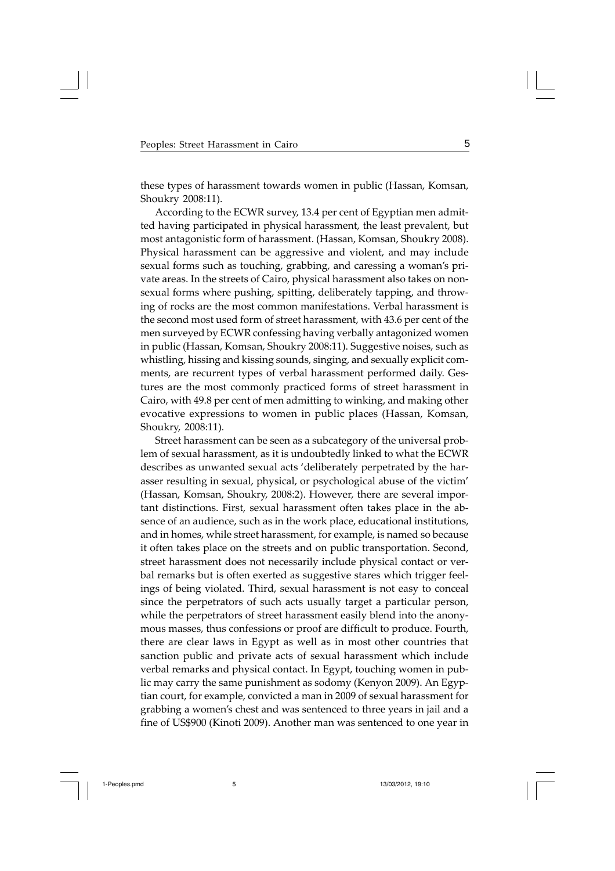these types of harassment towards women in public (Hassan, Komsan, Shoukry 2008:11).

According to the ECWR survey, 13.4 per cent of Egyptian men admitted having participated in physical harassment, the least prevalent, but most antagonistic form of harassment. (Hassan, Komsan, Shoukry 2008). Physical harassment can be aggressive and violent, and may include sexual forms such as touching, grabbing, and caressing a woman's private areas. In the streets of Cairo, physical harassment also takes on nonsexual forms where pushing, spitting, deliberately tapping, and throwing of rocks are the most common manifestations. Verbal harassment is the second most used form of street harassment, with 43.6 per cent of the men surveyed by ECWR confessing having verbally antagonized women in public (Hassan, Komsan, Shoukry 2008:11). Suggestive noises, such as whistling, hissing and kissing sounds, singing, and sexually explicit comments, are recurrent types of verbal harassment performed daily. Gestures are the most commonly practiced forms of street harassment in Cairo, with 49.8 per cent of men admitting to winking, and making other evocative expressions to women in public places (Hassan, Komsan, Shoukry, 2008:11).

Street harassment can be seen as a subcategory of the universal problem of sexual harassment, as it is undoubtedly linked to what the ECWR describes as unwanted sexual acts 'deliberately perpetrated by the harasser resulting in sexual, physical, or psychological abuse of the victim' (Hassan, Komsan, Shoukry, 2008:2). However, there are several important distinctions. First, sexual harassment often takes place in the absence of an audience, such as in the work place, educational institutions, and in homes, while street harassment, for example, is named so because it often takes place on the streets and on public transportation. Second, street harassment does not necessarily include physical contact or verbal remarks but is often exerted as suggestive stares which trigger feelings of being violated. Third, sexual harassment is not easy to conceal since the perpetrators of such acts usually target a particular person, while the perpetrators of street harassment easily blend into the anonymous masses, thus confessions or proof are difficult to produce. Fourth, there are clear laws in Egypt as well as in most other countries that sanction public and private acts of sexual harassment which include verbal remarks and physical contact. In Egypt, touching women in public may carry the same punishment as sodomy (Kenyon 2009). An Egyptian court, for example, convicted a man in 2009 of sexual harassment for grabbing a women's chest and was sentenced to three years in jail and a fine of US\$900 (Kinoti 2009). Another man was sentenced to one year in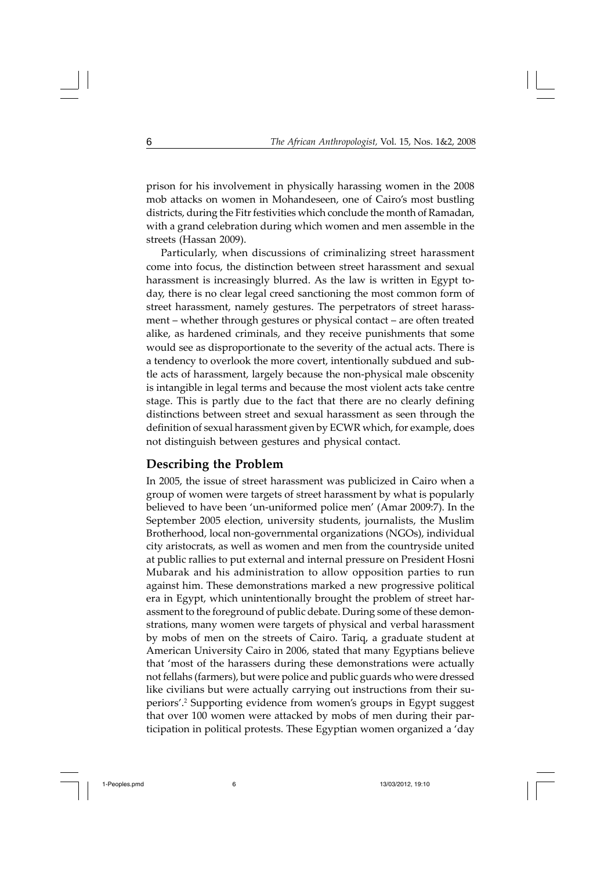prison for his involvement in physically harassing women in the 2008 mob attacks on women in Mohandeseen, one of Cairo's most bustling districts, during the Fitr festivities which conclude the month of Ramadan, with a grand celebration during which women and men assemble in the streets (Hassan 2009).

Particularly, when discussions of criminalizing street harassment come into focus, the distinction between street harassment and sexual harassment is increasingly blurred. As the law is written in Egypt today, there is no clear legal creed sanctioning the most common form of street harassment, namely gestures. The perpetrators of street harassment – whether through gestures or physical contact – are often treated alike, as hardened criminals, and they receive punishments that some would see as disproportionate to the severity of the actual acts. There is a tendency to overlook the more covert, intentionally subdued and subtle acts of harassment, largely because the non-physical male obscenity is intangible in legal terms and because the most violent acts take centre stage. This is partly due to the fact that there are no clearly defining distinctions between street and sexual harassment as seen through the definition of sexual harassment given by ECWR which, for example, does not distinguish between gestures and physical contact.

## **Describing the Problem**

In 2005, the issue of street harassment was publicized in Cairo when a group of women were targets of street harassment by what is popularly believed to have been 'un-uniformed police men' (Amar 2009:7). In the September 2005 election, university students, journalists, the Muslim Brotherhood, local non-governmental organizations (NGOs), individual city aristocrats, as well as women and men from the countryside united at public rallies to put external and internal pressure on President Hosni Mubarak and his administration to allow opposition parties to run against him. These demonstrations marked a new progressive political era in Egypt, which unintentionally brought the problem of street harassment to the foreground of public debate. During some of these demonstrations, many women were targets of physical and verbal harassment by mobs of men on the streets of Cairo. Tariq, a graduate student at American University Cairo in 2006, stated that many Egyptians believe that 'most of the harassers during these demonstrations were actually not fellahs (farmers), but were police and public guards who were dressed like civilians but were actually carrying out instructions from their superiors'.2 Supporting evidence from women's groups in Egypt suggest that over 100 women were attacked by mobs of men during their participation in political protests. These Egyptian women organized a 'day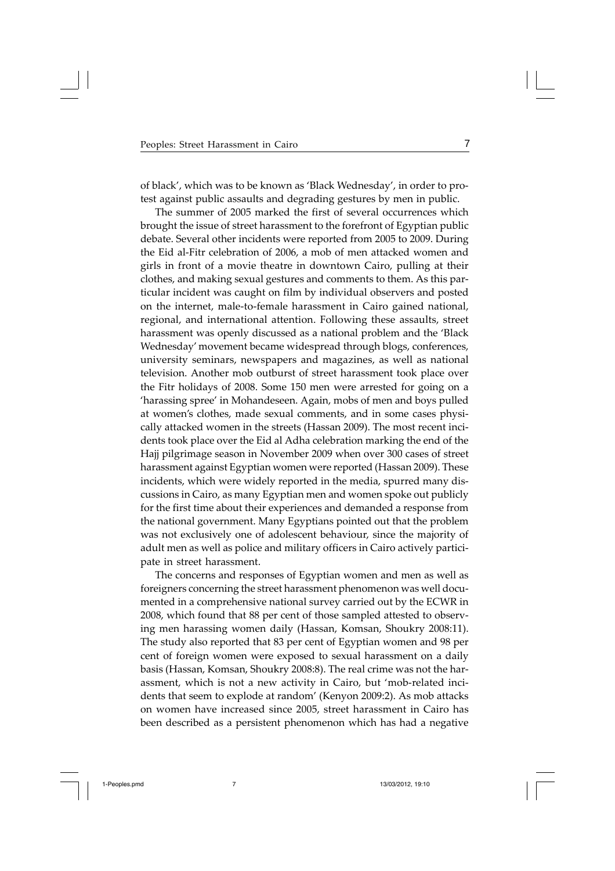of black', which was to be known as 'Black Wednesday', in order to protest against public assaults and degrading gestures by men in public.

The summer of 2005 marked the first of several occurrences which brought the issue of street harassment to the forefront of Egyptian public debate. Several other incidents were reported from 2005 to 2009. During the Eid al-Fitr celebration of 2006, a mob of men attacked women and girls in front of a movie theatre in downtown Cairo, pulling at their clothes, and making sexual gestures and comments to them. As this particular incident was caught on film by individual observers and posted on the internet, male-to-female harassment in Cairo gained national, regional, and international attention. Following these assaults, street harassment was openly discussed as a national problem and the 'Black Wednesday' movement became widespread through blogs, conferences, university seminars, newspapers and magazines, as well as national television. Another mob outburst of street harassment took place over the Fitr holidays of 2008. Some 150 men were arrested for going on a 'harassing spree' in Mohandeseen. Again, mobs of men and boys pulled at women's clothes, made sexual comments, and in some cases physically attacked women in the streets (Hassan 2009). The most recent incidents took place over the Eid al Adha celebration marking the end of the Hajj pilgrimage season in November 2009 when over 300 cases of street harassment against Egyptian women were reported (Hassan 2009). These incidents, which were widely reported in the media, spurred many discussions in Cairo, as many Egyptian men and women spoke out publicly for the first time about their experiences and demanded a response from the national government. Many Egyptians pointed out that the problem was not exclusively one of adolescent behaviour, since the majority of adult men as well as police and military officers in Cairo actively participate in street harassment.

The concerns and responses of Egyptian women and men as well as foreigners concerning the street harassment phenomenon was well documented in a comprehensive national survey carried out by the ECWR in 2008, which found that 88 per cent of those sampled attested to observing men harassing women daily (Hassan, Komsan, Shoukry 2008:11). The study also reported that 83 per cent of Egyptian women and 98 per cent of foreign women were exposed to sexual harassment on a daily basis (Hassan, Komsan, Shoukry 2008:8). The real crime was not the harassment, which is not a new activity in Cairo, but 'mob-related incidents that seem to explode at random' (Kenyon 2009:2). As mob attacks on women have increased since 2005, street harassment in Cairo has been described as a persistent phenomenon which has had a negative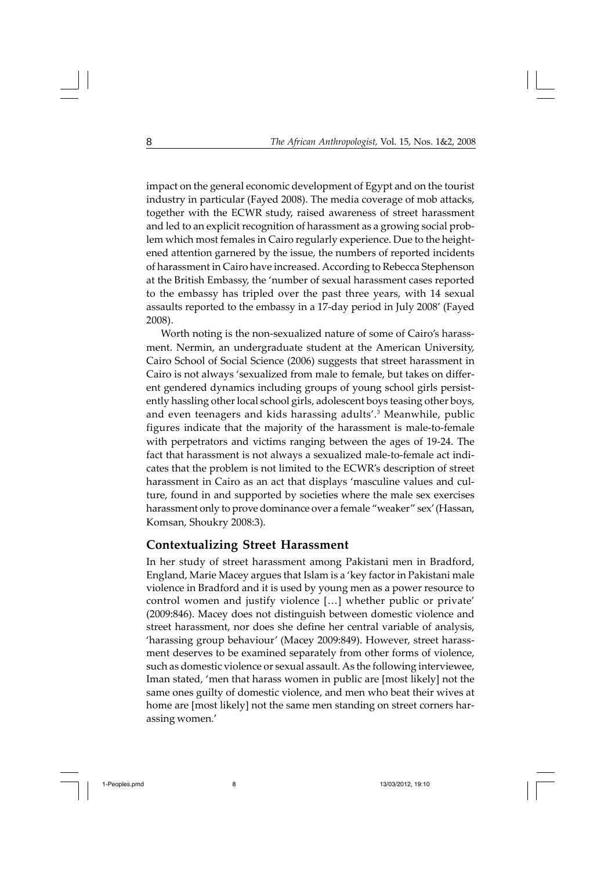impact on the general economic development of Egypt and on the tourist industry in particular (Fayed 2008). The media coverage of mob attacks, together with the ECWR study, raised awareness of street harassment and led to an explicit recognition of harassment as a growing social problem which most females in Cairo regularly experience. Due to the heightened attention garnered by the issue, the numbers of reported incidents of harassment in Cairo have increased. According to Rebecca Stephenson at the British Embassy, the 'number of sexual harassment cases reported to the embassy has tripled over the past three years, with 14 sexual assaults reported to the embassy in a 17-day period in July 2008' (Fayed 2008).

Worth noting is the non-sexualized nature of some of Cairo's harassment. Nermin, an undergraduate student at the American University, Cairo School of Social Science (2006) suggests that street harassment in Cairo is not always 'sexualized from male to female, but takes on different gendered dynamics including groups of young school girls persistently hassling other local school girls, adolescent boys teasing other boys, and even teenagers and kids harassing adults'.<sup>3</sup> Meanwhile, public figures indicate that the majority of the harassment is male-to-female with perpetrators and victims ranging between the ages of 19-24. The fact that harassment is not always a sexualized male-to-female act indicates that the problem is not limited to the ECWR's description of street harassment in Cairo as an act that displays 'masculine values and culture, found in and supported by societies where the male sex exercises harassment only to prove dominance over a female "weaker" sex' (Hassan, Komsan, Shoukry 2008:3).

#### **Contextualizing Street Harassment**

In her study of street harassment among Pakistani men in Bradford, England, Marie Macey argues that Islam is a 'key factor in Pakistani male violence in Bradford and it is used by young men as a power resource to control women and justify violence […] whether public or private' (2009:846). Macey does not distinguish between domestic violence and street harassment, nor does she define her central variable of analysis, 'harassing group behaviour' (Macey 2009:849). However, street harassment deserves to be examined separately from other forms of violence, such as domestic violence or sexual assault. As the following interviewee, Iman stated, 'men that harass women in public are [most likely] not the same ones guilty of domestic violence, and men who beat their wives at home are [most likely] not the same men standing on street corners harassing women.'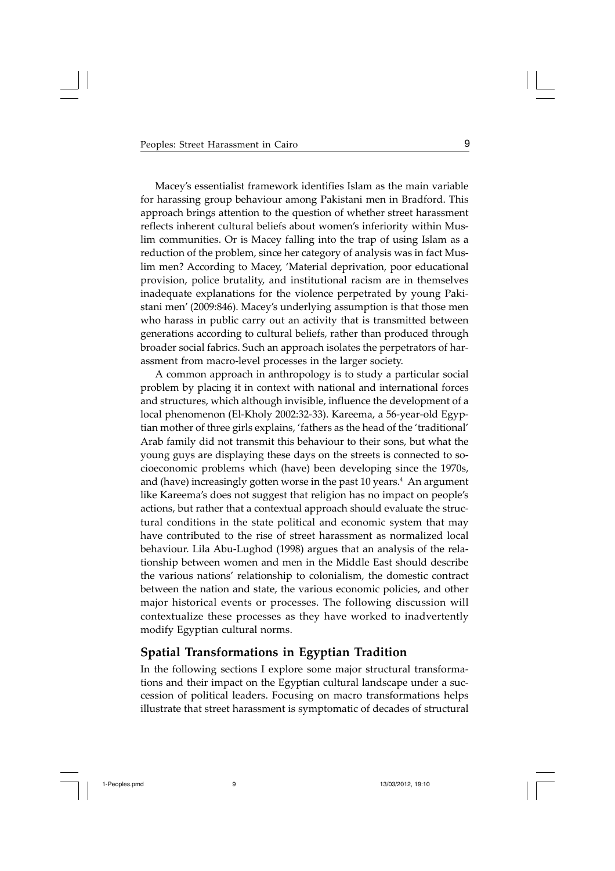Macey's essentialist framework identifies Islam as the main variable for harassing group behaviour among Pakistani men in Bradford. This approach brings attention to the question of whether street harassment reflects inherent cultural beliefs about women's inferiority within Muslim communities. Or is Macey falling into the trap of using Islam as a reduction of the problem, since her category of analysis was in fact Muslim men? According to Macey, 'Material deprivation, poor educational provision, police brutality, and institutional racism are in themselves inadequate explanations for the violence perpetrated by young Pakistani men' (2009:846). Macey's underlying assumption is that those men who harass in public carry out an activity that is transmitted between generations according to cultural beliefs, rather than produced through broader social fabrics. Such an approach isolates the perpetrators of harassment from macro-level processes in the larger society.

A common approach in anthropology is to study a particular social problem by placing it in context with national and international forces and structures, which although invisible, influence the development of a local phenomenon (El-Kholy 2002:32-33). Kareema, a 56-year-old Egyptian mother of three girls explains, 'fathers as the head of the 'traditional' Arab family did not transmit this behaviour to their sons, but what the young guys are displaying these days on the streets is connected to socioeconomic problems which (have) been developing since the 1970s, and (have) increasingly gotten worse in the past 10 years.<sup>4</sup> An argument like Kareema's does not suggest that religion has no impact on people's actions, but rather that a contextual approach should evaluate the structural conditions in the state political and economic system that may have contributed to the rise of street harassment as normalized local behaviour. Lila Abu-Lughod (1998) argues that an analysis of the relationship between women and men in the Middle East should describe the various nations' relationship to colonialism, the domestic contract between the nation and state, the various economic policies, and other major historical events or processes. The following discussion will contextualize these processes as they have worked to inadvertently modify Egyptian cultural norms.

## **Spatial Transformations in Egyptian Tradition**

In the following sections I explore some major structural transformations and their impact on the Egyptian cultural landscape under a succession of political leaders. Focusing on macro transformations helps illustrate that street harassment is symptomatic of decades of structural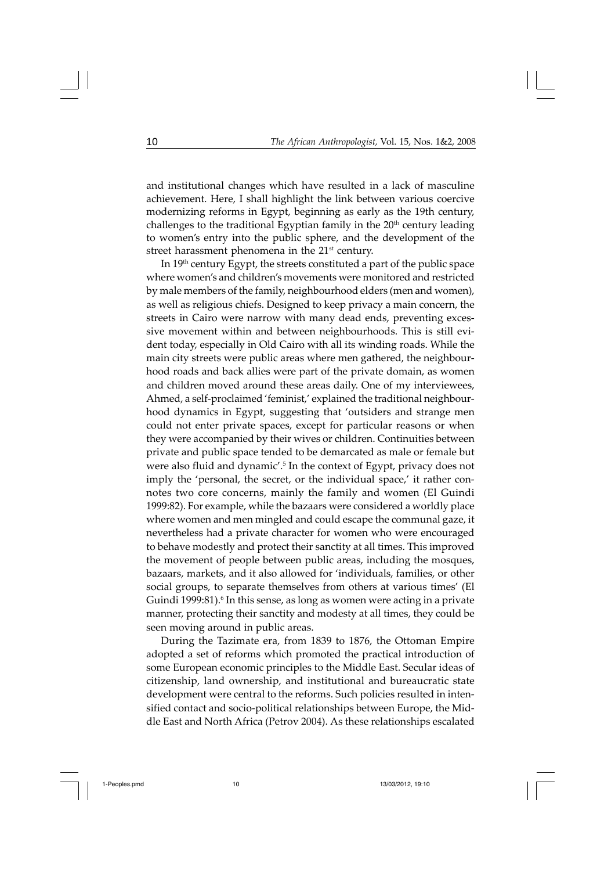and institutional changes which have resulted in a lack of masculine achievement. Here, I shall highlight the link between various coercive modernizing reforms in Egypt, beginning as early as the 19th century, challenges to the traditional Egyptian family in the 20<sup>th</sup> century leading to women's entry into the public sphere, and the development of the street harassment phenomena in the 21<sup>st</sup> century.

In  $19<sup>th</sup>$  century Egypt, the streets constituted a part of the public space where women's and children's movements were monitored and restricted by male members of the family, neighbourhood elders (men and women), as well as religious chiefs. Designed to keep privacy a main concern, the streets in Cairo were narrow with many dead ends, preventing excessive movement within and between neighbourhoods. This is still evident today, especially in Old Cairo with all its winding roads. While the main city streets were public areas where men gathered, the neighbourhood roads and back allies were part of the private domain, as women and children moved around these areas daily. One of my interviewees, Ahmed, a self-proclaimed 'feminist,' explained the traditional neighbourhood dynamics in Egypt, suggesting that 'outsiders and strange men could not enter private spaces, except for particular reasons or when they were accompanied by their wives or children. Continuities between private and public space tended to be demarcated as male or female but were also fluid and dynamic'.<sup>5</sup> In the context of Egypt, privacy does not imply the 'personal, the secret, or the individual space,' it rather connotes two core concerns, mainly the family and women (El Guindi 1999:82). For example, while the bazaars were considered a worldly place where women and men mingled and could escape the communal gaze, it nevertheless had a private character for women who were encouraged to behave modestly and protect their sanctity at all times. This improved the movement of people between public areas, including the mosques, bazaars, markets, and it also allowed for 'individuals, families, or other social groups, to separate themselves from others at various times' (El Guindi 1999:81).<sup>6</sup> In this sense, as long as women were acting in a private manner, protecting their sanctity and modesty at all times, they could be seen moving around in public areas.

During the Tazimate era, from 1839 to 1876, the Ottoman Empire adopted a set of reforms which promoted the practical introduction of some European economic principles to the Middle East. Secular ideas of citizenship, land ownership, and institutional and bureaucratic state development were central to the reforms. Such policies resulted in intensified contact and socio-political relationships between Europe, the Middle East and North Africa (Petrov 2004). As these relationships escalated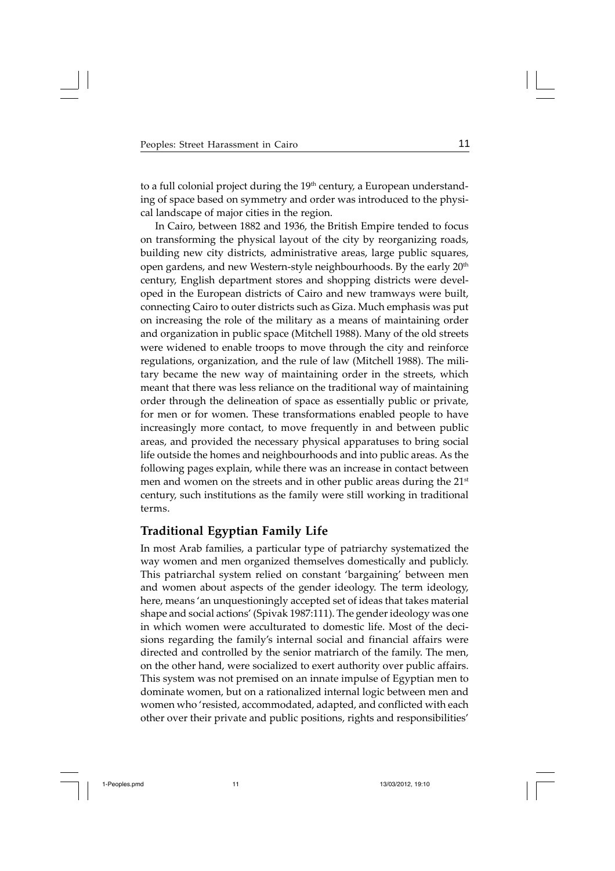to a full colonial project during the 19<sup>th</sup> century, a European understanding of space based on symmetry and order was introduced to the physical landscape of major cities in the region.

In Cairo, between 1882 and 1936, the British Empire tended to focus on transforming the physical layout of the city by reorganizing roads, building new city districts, administrative areas, large public squares, open gardens, and new Western-style neighbourhoods. By the early 20<sup>th</sup> century, English department stores and shopping districts were developed in the European districts of Cairo and new tramways were built, connecting Cairo to outer districts such as Giza. Much emphasis was put on increasing the role of the military as a means of maintaining order and organization in public space (Mitchell 1988). Many of the old streets were widened to enable troops to move through the city and reinforce regulations, organization, and the rule of law (Mitchell 1988). The military became the new way of maintaining order in the streets, which meant that there was less reliance on the traditional way of maintaining order through the delineation of space as essentially public or private, for men or for women. These transformations enabled people to have increasingly more contact, to move frequently in and between public areas, and provided the necessary physical apparatuses to bring social life outside the homes and neighbourhoods and into public areas. As the following pages explain, while there was an increase in contact between men and women on the streets and in other public areas during the 21<sup>st</sup> century, such institutions as the family were still working in traditional terms.

## **Traditional Egyptian Family Life**

In most Arab families, a particular type of patriarchy systematized the way women and men organized themselves domestically and publicly. This patriarchal system relied on constant 'bargaining' between men and women about aspects of the gender ideology. The term ideology, here, means 'an unquestioningly accepted set of ideas that takes material shape and social actions' (Spivak 1987:111). The gender ideology was one in which women were acculturated to domestic life. Most of the decisions regarding the family's internal social and financial affairs were directed and controlled by the senior matriarch of the family. The men, on the other hand, were socialized to exert authority over public affairs. This system was not premised on an innate impulse of Egyptian men to dominate women, but on a rationalized internal logic between men and women who 'resisted, accommodated, adapted, and conflicted with each other over their private and public positions, rights and responsibilities'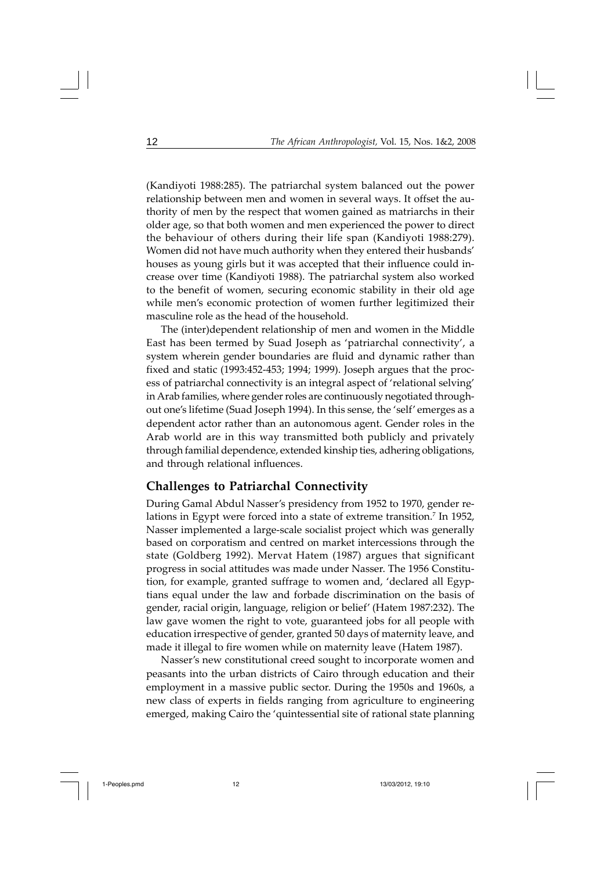(Kandiyoti 1988:285). The patriarchal system balanced out the power relationship between men and women in several ways. It offset the authority of men by the respect that women gained as matriarchs in their older age, so that both women and men experienced the power to direct the behaviour of others during their life span (Kandiyoti 1988:279). Women did not have much authority when they entered their husbands' houses as young girls but it was accepted that their influence could increase over time (Kandiyoti 1988). The patriarchal system also worked to the benefit of women, securing economic stability in their old age while men's economic protection of women further legitimized their masculine role as the head of the household.

The (inter)dependent relationship of men and women in the Middle East has been termed by Suad Joseph as 'patriarchal connectivity', a system wherein gender boundaries are fluid and dynamic rather than fixed and static (1993:452-453; 1994; 1999). Joseph argues that the process of patriarchal connectivity is an integral aspect of 'relational selving' in Arab families, where gender roles are continuously negotiated throughout one's lifetime (Suad Joseph 1994). In this sense, the 'self' emerges as a dependent actor rather than an autonomous agent. Gender roles in the Arab world are in this way transmitted both publicly and privately through familial dependence, extended kinship ties, adhering obligations, and through relational influences.

#### **Challenges to Patriarchal Connectivity**

During Gamal Abdul Nasser's presidency from 1952 to 1970, gender relations in Egypt were forced into a state of extreme transition.<sup>7</sup> In 1952, Nasser implemented a large-scale socialist project which was generally based on corporatism and centred on market intercessions through the state (Goldberg 1992). Mervat Hatem (1987) argues that significant progress in social attitudes was made under Nasser. The 1956 Constitution, for example, granted suffrage to women and, 'declared all Egyptians equal under the law and forbade discrimination on the basis of gender, racial origin, language, religion or belief' (Hatem 1987:232). The law gave women the right to vote, guaranteed jobs for all people with education irrespective of gender, granted 50 days of maternity leave, and made it illegal to fire women while on maternity leave (Hatem 1987).

Nasser's new constitutional creed sought to incorporate women and peasants into the urban districts of Cairo through education and their employment in a massive public sector. During the 1950s and 1960s, a new class of experts in fields ranging from agriculture to engineering emerged, making Cairo the 'quintessential site of rational state planning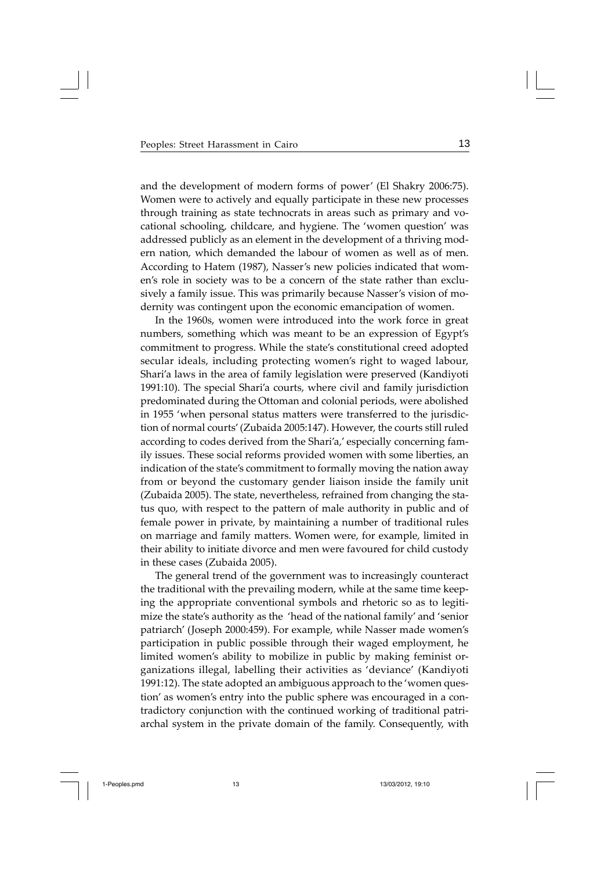and the development of modern forms of power' (El Shakry 2006:75). Women were to actively and equally participate in these new processes through training as state technocrats in areas such as primary and vocational schooling, childcare, and hygiene. The 'women question' was addressed publicly as an element in the development of a thriving modern nation, which demanded the labour of women as well as of men. According to Hatem (1987), Nasser's new policies indicated that women's role in society was to be a concern of the state rather than exclusively a family issue. This was primarily because Nasser's vision of modernity was contingent upon the economic emancipation of women.

In the 1960s, women were introduced into the work force in great numbers, something which was meant to be an expression of Egypt's commitment to progress. While the state's constitutional creed adopted secular ideals, including protecting women's right to waged labour, Shari'a laws in the area of family legislation were preserved (Kandiyoti 1991:10). The special Shari'a courts, where civil and family jurisdiction predominated during the Ottoman and colonial periods, were abolished in 1955 'when personal status matters were transferred to the jurisdiction of normal courts' (Zubaida 2005:147). However, the courts still ruled according to codes derived from the Shari'a,' especially concerning family issues. These social reforms provided women with some liberties, an indication of the state's commitment to formally moving the nation away from or beyond the customary gender liaison inside the family unit (Zubaida 2005). The state, nevertheless, refrained from changing the status quo, with respect to the pattern of male authority in public and of female power in private, by maintaining a number of traditional rules on marriage and family matters. Women were, for example, limited in their ability to initiate divorce and men were favoured for child custody in these cases (Zubaida 2005).

The general trend of the government was to increasingly counteract the traditional with the prevailing modern, while at the same time keeping the appropriate conventional symbols and rhetoric so as to legitimize the state's authority as the 'head of the national family' and 'senior patriarch' (Joseph 2000:459). For example, while Nasser made women's participation in public possible through their waged employment, he limited women's ability to mobilize in public by making feminist organizations illegal, labelling their activities as 'deviance' (Kandiyoti 1991:12). The state adopted an ambiguous approach to the 'women question' as women's entry into the public sphere was encouraged in a contradictory conjunction with the continued working of traditional patriarchal system in the private domain of the family. Consequently, with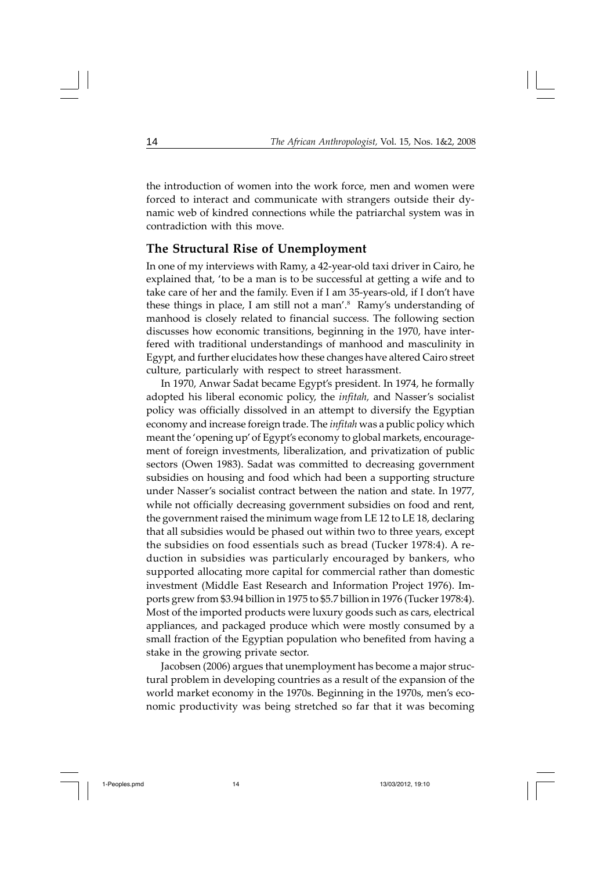the introduction of women into the work force, men and women were forced to interact and communicate with strangers outside their dynamic web of kindred connections while the patriarchal system was in contradiction with this move.

#### **The Structural Rise of Unemployment**

In one of my interviews with Ramy, a 42-year-old taxi driver in Cairo, he explained that, 'to be a man is to be successful at getting a wife and to take care of her and the family. Even if I am 35-years-old, if I don't have these things in place, I am still not a man'.<sup>8</sup> Ramy's understanding of manhood is closely related to financial success. The following section discusses how economic transitions, beginning in the 1970, have interfered with traditional understandings of manhood and masculinity in Egypt, and further elucidates how these changes have altered Cairo street culture, particularly with respect to street harassment.

In 1970, Anwar Sadat became Egypt's president. In 1974, he formally adopted his liberal economic policy, the *infitah,* and Nasser's socialist policy was officially dissolved in an attempt to diversify the Egyptian economy and increase foreign trade. The *infitah* was a public policy which meant the 'opening up' of Egypt's economy to global markets, encouragement of foreign investments, liberalization, and privatization of public sectors (Owen 1983). Sadat was committed to decreasing government subsidies on housing and food which had been a supporting structure under Nasser's socialist contract between the nation and state. In 1977, while not officially decreasing government subsidies on food and rent, the government raised the minimum wage from LE 12 to LE 18, declaring that all subsidies would be phased out within two to three years, except the subsidies on food essentials such as bread (Tucker 1978:4). A reduction in subsidies was particularly encouraged by bankers, who supported allocating more capital for commercial rather than domestic investment (Middle East Research and Information Project 1976). Imports grew from \$3.94 billion in 1975 to \$5.7 billion in 1976 (Tucker 1978:4). Most of the imported products were luxury goods such as cars, electrical appliances, and packaged produce which were mostly consumed by a small fraction of the Egyptian population who benefited from having a stake in the growing private sector.

Jacobsen (2006) argues that unemployment has become a major structural problem in developing countries as a result of the expansion of the world market economy in the 1970s. Beginning in the 1970s, men's economic productivity was being stretched so far that it was becoming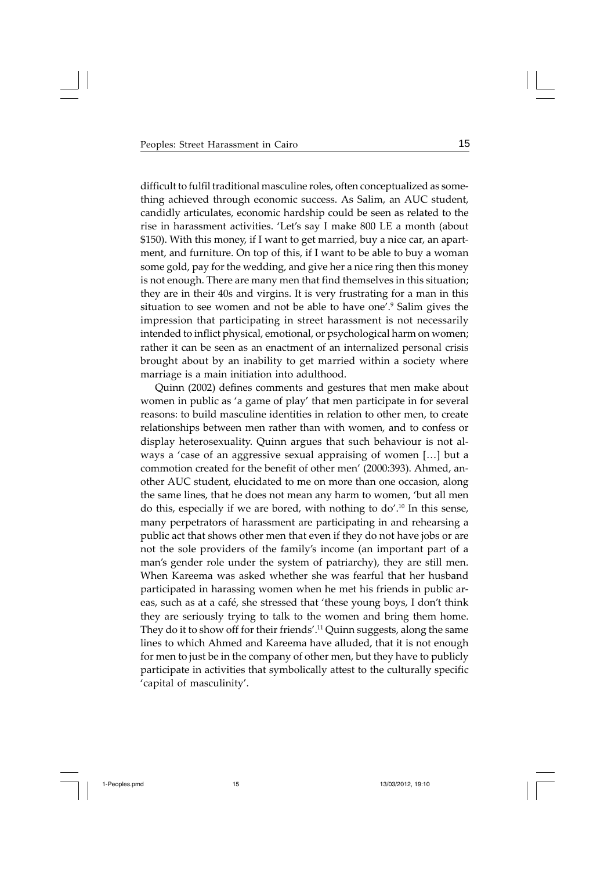difficult to fulfil traditional masculine roles, often conceptualized as something achieved through economic success. As Salim, an AUC student, candidly articulates, economic hardship could be seen as related to the rise in harassment activities. 'Let's say I make 800 LE a month (about \$150). With this money, if I want to get married, buy a nice car, an apartment, and furniture. On top of this, if I want to be able to buy a woman some gold, pay for the wedding, and give her a nice ring then this money is not enough. There are many men that find themselves in this situation; they are in their 40s and virgins. It is very frustrating for a man in this situation to see women and not be able to have one'.<sup>9</sup> Salim gives the impression that participating in street harassment is not necessarily intended to inflict physical, emotional, or psychological harm on women; rather it can be seen as an enactment of an internalized personal crisis brought about by an inability to get married within a society where marriage is a main initiation into adulthood.

Quinn (2002) defines comments and gestures that men make about women in public as 'a game of play' that men participate in for several reasons: to build masculine identities in relation to other men, to create relationships between men rather than with women, and to confess or display heterosexuality. Quinn argues that such behaviour is not always a 'case of an aggressive sexual appraising of women […] but a commotion created for the benefit of other men' (2000:393). Ahmed, another AUC student, elucidated to me on more than one occasion, along the same lines, that he does not mean any harm to women, 'but all men do this, especially if we are bored, with nothing to do'.10 In this sense, many perpetrators of harassment are participating in and rehearsing a public act that shows other men that even if they do not have jobs or are not the sole providers of the family's income (an important part of a man's gender role under the system of patriarchy), they are still men. When Kareema was asked whether she was fearful that her husband participated in harassing women when he met his friends in public areas, such as at a café, she stressed that 'these young boys, I don't think they are seriously trying to talk to the women and bring them home. They do it to show off for their friends'.<sup>11</sup> Quinn suggests, along the same lines to which Ahmed and Kareema have alluded, that it is not enough for men to just be in the company of other men, but they have to publicly participate in activities that symbolically attest to the culturally specific 'capital of masculinity'.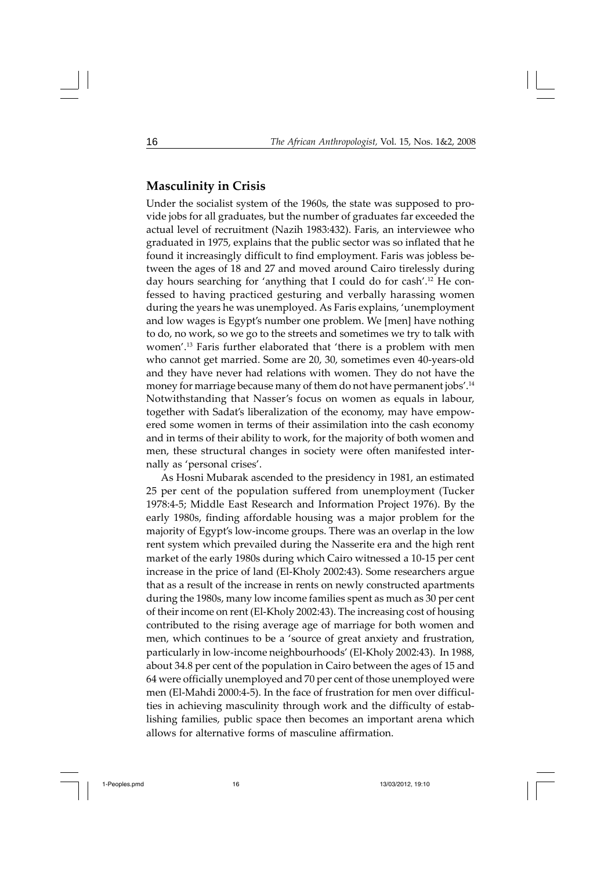#### **Masculinity in Crisis**

Under the socialist system of the 1960s, the state was supposed to provide jobs for all graduates, but the number of graduates far exceeded the actual level of recruitment (Nazih 1983:432). Faris, an interviewee who graduated in 1975, explains that the public sector was so inflated that he found it increasingly difficult to find employment. Faris was jobless between the ages of 18 and 27 and moved around Cairo tirelessly during day hours searching for 'anything that I could do for cash'.12 He confessed to having practiced gesturing and verbally harassing women during the years he was unemployed. As Faris explains, 'unemployment and low wages is Egypt's number one problem. We [men] have nothing to do, no work, so we go to the streets and sometimes we try to talk with women'.13 Faris further elaborated that 'there is a problem with men who cannot get married. Some are 20, 30, sometimes even 40-years-old and they have never had relations with women. They do not have the money for marriage because many of them do not have permanent jobs'.14 Notwithstanding that Nasser's focus on women as equals in labour, together with Sadat's liberalization of the economy, may have empowered some women in terms of their assimilation into the cash economy and in terms of their ability to work, for the majority of both women and men, these structural changes in society were often manifested internally as 'personal crises'.

As Hosni Mubarak ascended to the presidency in 1981, an estimated 25 per cent of the population suffered from unemployment (Tucker 1978:4-5; Middle East Research and Information Project 1976). By the early 1980s, finding affordable housing was a major problem for the majority of Egypt's low-income groups. There was an overlap in the low rent system which prevailed during the Nasserite era and the high rent market of the early 1980s during which Cairo witnessed a 10-15 per cent increase in the price of land (El-Kholy 2002:43). Some researchers argue that as a result of the increase in rents on newly constructed apartments during the 1980s, many low income families spent as much as 30 per cent of their income on rent (El-Kholy 2002:43). The increasing cost of housing contributed to the rising average age of marriage for both women and men, which continues to be a 'source of great anxiety and frustration, particularly in low-income neighbourhoods' (El-Kholy 2002:43). In 1988, about 34.8 per cent of the population in Cairo between the ages of 15 and 64 were officially unemployed and 70 per cent of those unemployed were men (El-Mahdi 2000:4-5). In the face of frustration for men over difficulties in achieving masculinity through work and the difficulty of establishing families, public space then becomes an important arena which allows for alternative forms of masculine affirmation.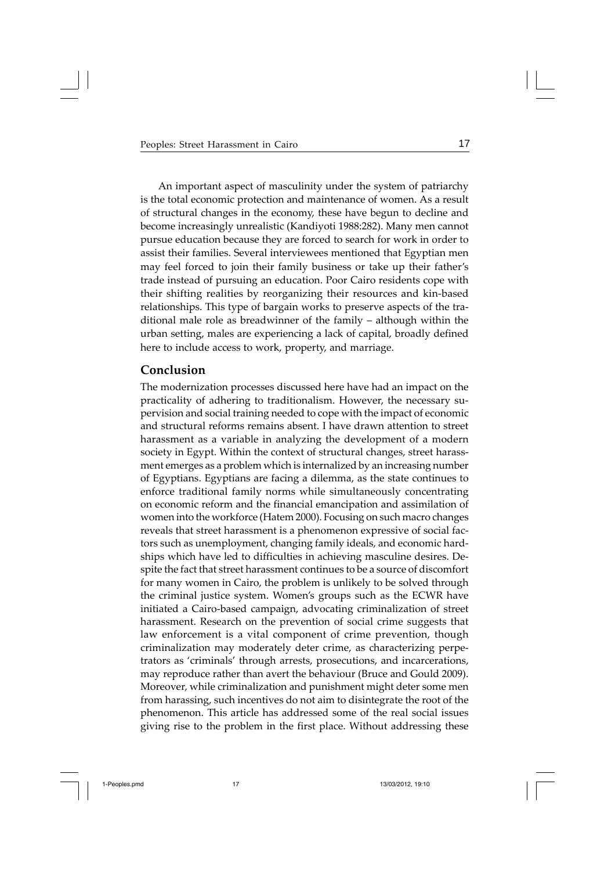An important aspect of masculinity under the system of patriarchy is the total economic protection and maintenance of women. As a result of structural changes in the economy, these have begun to decline and become increasingly unrealistic (Kandiyoti 1988:282). Many men cannot pursue education because they are forced to search for work in order to assist their families. Several interviewees mentioned that Egyptian men may feel forced to join their family business or take up their father's trade instead of pursuing an education. Poor Cairo residents cope with their shifting realities by reorganizing their resources and kin-based relationships. This type of bargain works to preserve aspects of the traditional male role as breadwinner of the family – although within the urban setting, males are experiencing a lack of capital, broadly defined here to include access to work, property, and marriage.

#### **Conclusion**

The modernization processes discussed here have had an impact on the practicality of adhering to traditionalism. However, the necessary supervision and social training needed to cope with the impact of economic and structural reforms remains absent. I have drawn attention to street harassment as a variable in analyzing the development of a modern society in Egypt. Within the context of structural changes, street harassment emerges as a problem which is internalized by an increasing number of Egyptians. Egyptians are facing a dilemma, as the state continues to enforce traditional family norms while simultaneously concentrating on economic reform and the financial emancipation and assimilation of women into the workforce (Hatem 2000). Focusing on such macro changes reveals that street harassment is a phenomenon expressive of social factors such as unemployment, changing family ideals, and economic hardships which have led to difficulties in achieving masculine desires. Despite the fact that street harassment continues to be a source of discomfort for many women in Cairo, the problem is unlikely to be solved through the criminal justice system. Women's groups such as the ECWR have initiated a Cairo-based campaign, advocating criminalization of street harassment. Research on the prevention of social crime suggests that law enforcement is a vital component of crime prevention, though criminalization may moderately deter crime, as characterizing perpetrators as 'criminals' through arrests, prosecutions, and incarcerations, may reproduce rather than avert the behaviour (Bruce and Gould 2009). Moreover, while criminalization and punishment might deter some men from harassing, such incentives do not aim to disintegrate the root of the phenomenon. This article has addressed some of the real social issues giving rise to the problem in the first place. Without addressing these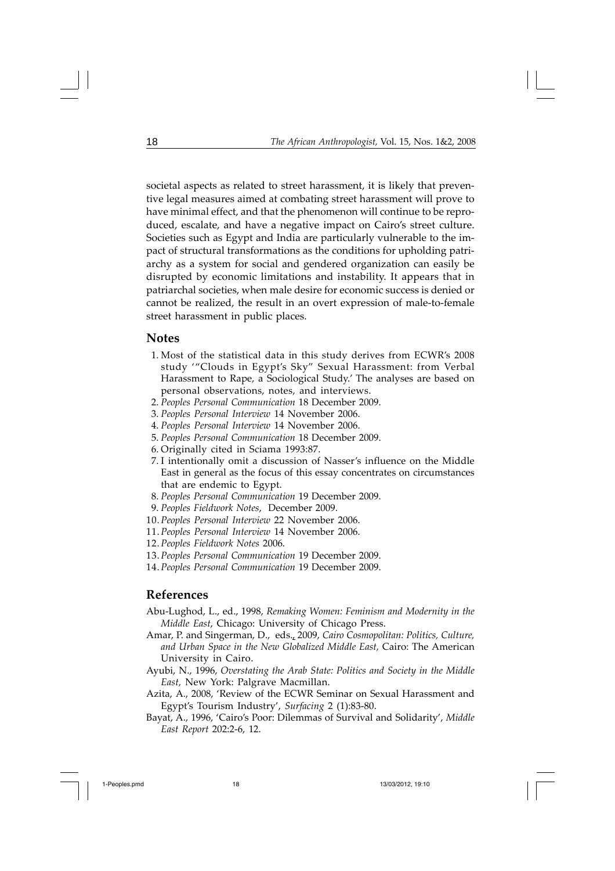societal aspects as related to street harassment, it is likely that preventive legal measures aimed at combating street harassment will prove to have minimal effect, and that the phenomenon will continue to be reproduced, escalate, and have a negative impact on Cairo's street culture. Societies such as Egypt and India are particularly vulnerable to the impact of structural transformations as the conditions for upholding patriarchy as a system for social and gendered organization can easily be disrupted by economic limitations and instability. It appears that in patriarchal societies, when male desire for economic success is denied or cannot be realized, the result in an overt expression of male-to-female street harassment in public places.

#### **Notes**

- 1. Most of the statistical data in this study derives from ECWR's 2008 study '"Clouds in Egypt's Sky" Sexual Harassment: from Verbal Harassment to Rape, a Sociological Study.' The analyses are based on personal observations, notes, and interviews.
- 2. *Peoples Personal Communication* 18 December 2009.
- 3. *Peoples Personal Interview* 14 November 2006.
- 4. *Peoples Personal Interview* 14 November 2006.
- 5. *Peoples Personal Communication* 18 December 2009.
- 6. Originally cited in Sciama 1993:87.
- 7. I intentionally omit a discussion of Nasser's influence on the Middle East in general as the focus of this essay concentrates on circumstances that are endemic to Egypt.
- 8. *Peoples Personal Communication* 19 December 2009.
- 9. *Peoples Fieldwork Notes*, December 2009.
- 10.*Peoples Personal Interview* 22 November 2006.
- 11.*Peoples Personal Interview* 14 November 2006.
- 12.*Peoples Fieldwork Notes* 2006.
- 13.*Peoples Personal Communication* 19 December 2009.
- 14.*Peoples Personal Communication* 19 December 2009.

#### **References**

- Abu-Lughod, L., ed., 1998, *Remaking Women: Feminism and Modernity in the Middle East*, Chicago: University of Chicago Press.
- Amar, P. and Singerman, D., eds., 2009, *Cairo Cosmopolitan: Politics, Culture, and Urban Space in the New Globalized Middle East,* Cairo: The American University in Cairo.
- Ayubi, N., 1996, *Overstating the Arab State: Politics and Society in the Middle East,* New York: Palgrave Macmillan.
- Azita, A., 2008, 'Review of the ECWR Seminar on Sexual Harassment and Egypt's Tourism Industry', *Surfacing* 2 (1):83-80.
- Bayat, A., 1996, 'Cairo's Poor: Dilemmas of Survival and Solidarity', *Middle East Report* 202:2-6, 12.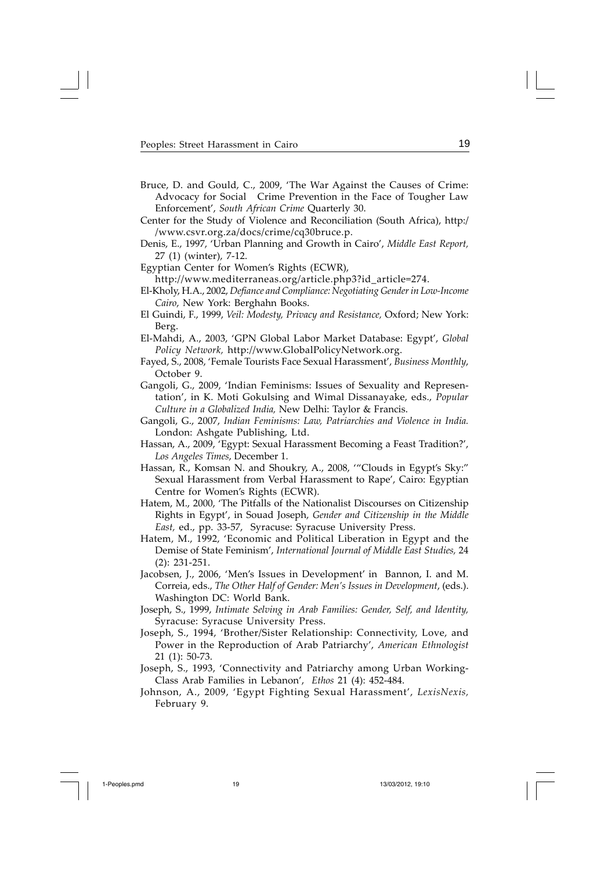- Bruce, D. and Gould, C., 2009, 'The War Against the Causes of Crime: Advocacy for Social Crime Prevention in the Face of Tougher Law Enforcement', *South African Crime* Quarterly 30.
- Center for the Study of Violence and Reconciliation (South Africa), http:/ /www.csvr.org.za/docs/crime/cq30bruce.p.
- Denis, E., 1997, 'Urban Planning and Growth in Cairo', *Middle East Report,* 27 (1) (winter), 7-12.
- Egyptian Center for Women's Rights (ECWR), http://www.mediterraneas.org/article.php3?id\_article=274.
- El-Kholy, H.A., 2002, *Defiance and Compliance: Negotiating Gender in Low-Income Cairo*, New York: Berghahn Books.
- El Guindi, F., 1999, *Veil: Modesty, Privacy and Resistance,* Oxford; New York: Berg.
- El-Mahdi, A., 2003, 'GPN Global Labor Market Database: Egypt', *Global Policy Network,* http://www.GlobalPolicyNetwork.org.
- Fayed, S., 2008, 'Female Tourists Face Sexual Harassment', *Business Monthly*, October 9.
- Gangoli, G., 2009, 'Indian Feminisms: Issues of Sexuality and Representation', in K. Moti Gokulsing and Wimal Dissanayake, eds., *Popular Culture in a Globalized India,* New Delhi: Taylor & Francis.
- Gangoli, G., 2007, *Indian Feminisms: Law, Patriarchies and Violence in India.* London: Ashgate Publishing, Ltd.
- Hassan, A., 2009, 'Egypt: Sexual Harassment Becoming a Feast Tradition?', *Los Angeles Times*, December 1.
- Hassan, R., Komsan N. and Shoukry, A., 2008, '"Clouds in Egypt's Sky:" Sexual Harassment from Verbal Harassment to Rape', Cairo: Egyptian Centre for Women's Rights (ECWR).
- Hatem, M., 2000, 'The Pitfalls of the Nationalist Discourses on Citizenship Rights in Egypt', in Souad Joseph, *Gender and Citizenship in the Middle East,* ed., pp. 33-57, Syracuse: Syracuse University Press.
- Hatem, M., 1992, 'Economic and Political Liberation in Egypt and the Demise of State Feminism', *International Journal of Middle East Studies,* 24 (2): 231-251.
- Jacobsen, J., 2006, 'Men's Issues in Development' in Bannon, I. and M. Correia, eds., *The Other Half of Gender: Men's Issues in Development*, (eds.). Washington DC: World Bank.
- Joseph, S., 1999, *Intimate Selving in Arab Families: Gender, Self, and Identity,* Syracuse: Syracuse University Press.
- Joseph, S., 1994, 'Brother/Sister Relationship: Connectivity, Love, and Power in the Reproduction of Arab Patriarchy', *American Ethnologist* 21 (1): 50-73.
- Joseph, S., 1993, 'Connectivity and Patriarchy among Urban Working-Class Arab Families in Lebanon', *Ethos* 21 (4): 452-484.
- Johnson, A., 2009, 'Egypt Fighting Sexual Harassment', *LexisNexis,* February 9.